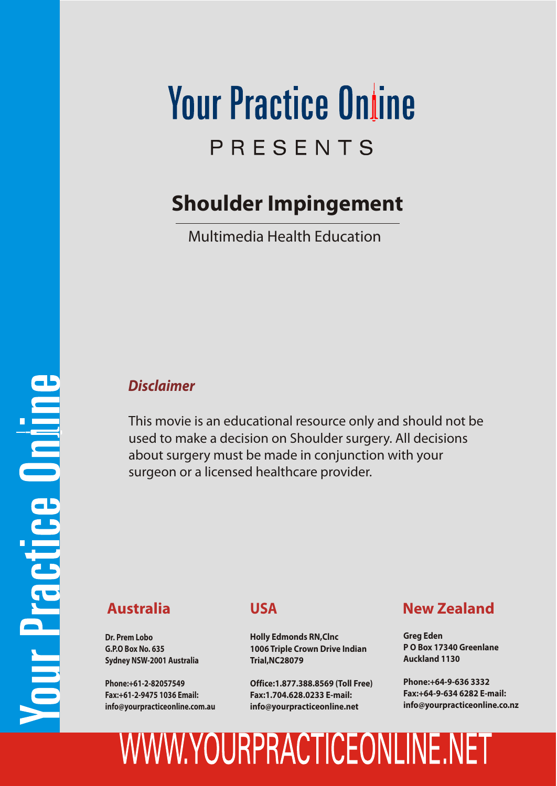# **Your Practice Online** PRESENTS

#### **Shoulder Impingement**

Multimedia Health Education

#### *Disclaimer*

This movie is an educational resource only and should not be used to make a decision on Shoulder surgery. All decisions about surgery must be made in conjunction with your surgeon or a licensed healthcare provider.

**Dr. Prem Lobo G.P.O Box No. 635 Sydney NSW-2001 Australia**

**Phone:+61-2-82057549 Fax:+61-2-9475 1036 Email: info@yourpracticeonline.com.au**

#### **USA**

**Holly Edmonds RN,Clnc 1006 Triple Crown Drive Indian Trial,NC28079**

**Office:1.877.388.8569 (Toll Free) Fax:1.704.628.0233 E-mail: info@yourpracticeonline.net**

#### **Australia New Zealand**

**Greg Eden P O Box 17340 Greenlane Auckland 1130**

**Phone:+64-9-636 3332 Fax:+64-9-634 6282 E-mail: info@yourpracticeonline.co.nz**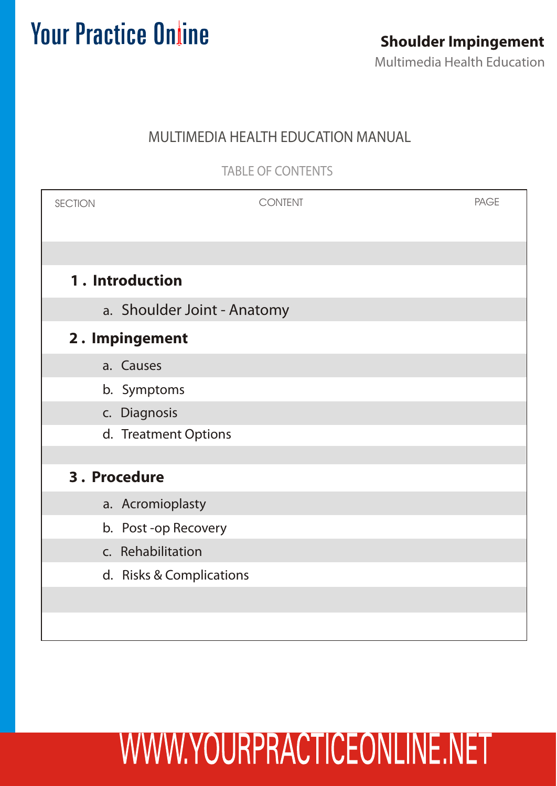#### MULTIMEDIA HEALTH EDUCATION MANUAL

TABLE OF CONTENTS

| <b>SECTION</b>  | <b>CONTENT</b>              | <b>PAGE</b> |  |
|-----------------|-----------------------------|-------------|--|
|                 |                             |             |  |
| 1. Introduction |                             |             |  |
|                 | a. Shoulder Joint - Anatomy |             |  |
| 2. Impingement  |                             |             |  |
|                 | a. Causes                   |             |  |
|                 | b. Symptoms                 |             |  |
|                 | c. Diagnosis                |             |  |
|                 | d. Treatment Options        |             |  |
|                 |                             |             |  |
| 3. Procedure    |                             |             |  |
|                 | a. Acromioplasty            |             |  |
|                 | b. Post-op Recovery         |             |  |
|                 | c. Rehabilitation           |             |  |
|                 | d. Risks & Complications    |             |  |
|                 |                             |             |  |
|                 |                             |             |  |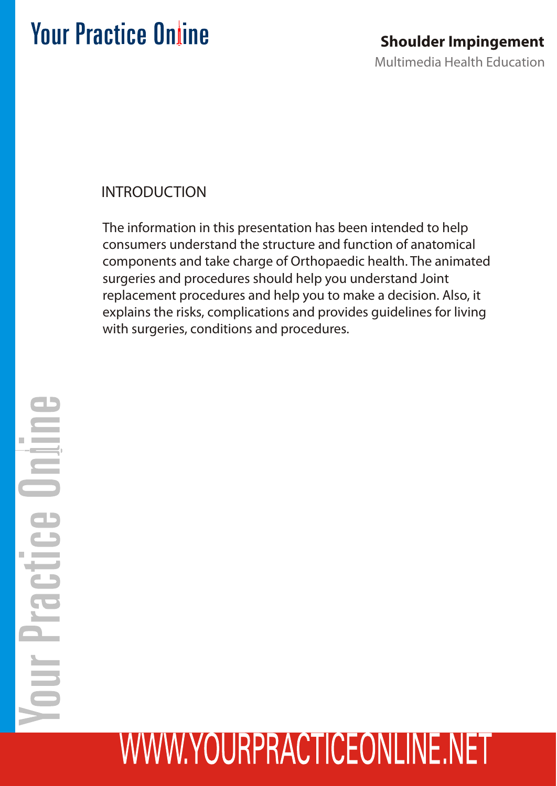#### INTRODUCTION

The information in this presentation has been intended to help consumers understand the structure and function of anatomical components and take charge of Orthopaedic health. The animated surgeries and procedures should help you understand Joint replacement procedures and help you to make a decision. Also, it explains the risks, complications and provides guidelines for living with surgeries, conditions and procedures.

# Practice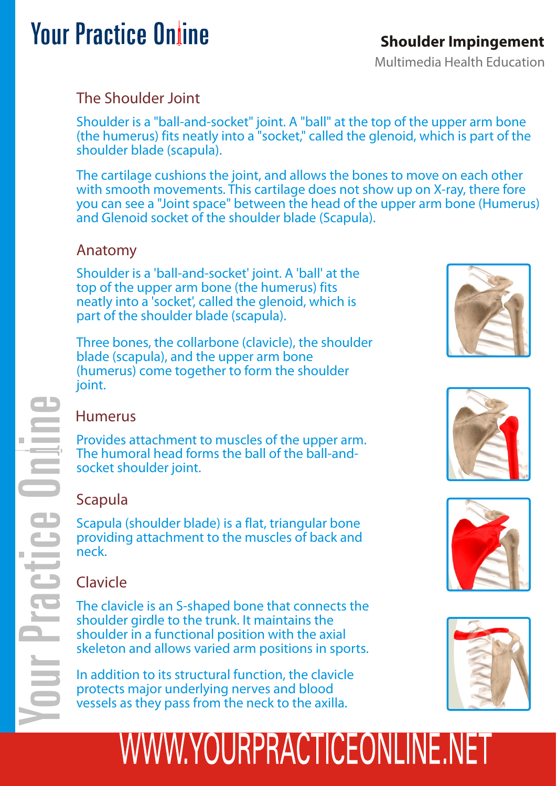#### **Shoulder Impingement**

Multimedia Health Education

#### The Shoulder Joint

Shoulder is a "ball-and-socket" joint. A "ball" at the top of the upper arm bone (the humerus) fits neatly into a "socket," called the glenoid, which is part of the shoulder blade (scapula).

The cartilage cushions the joint, and allows the bones to move on each other with smooth movements. This cartilage does not show up on X-ray, there fore you can see a "Joint space" between the head of the upper arm bone (Humerus) and Glenoid socket of the shoulder blade (Scapula).

#### Anatomy

Shoulder is a 'ball-and-socket' joint. A 'ball' at the top of the upper arm bone (the humerus) fits neatly into a 'socket', called the glenoid, which is part of the shoulder blade (scapula).

Three bones, the collarbone (clavicle), the shoulder blade (scapula), and the upper arm bone (humerus) come together to form the shoulder joint.

#### Humerus

Provides attachment to muscles of the upper arm. The humoral head forms the ball of the ball-andsocket shoulder joint.

#### Scapula

Scapula (shoulder blade) is a flat, triangular bone providing attachment to the muscles of back and neck.

#### Clavicle

The clavicle is an S-shaped bone that connects the shoulder girdle to the trunk. It maintains the shoulder in a functional position with the axial skeleton and allows varied arm positions in sports.

In addition to its structural function, the clavicle protects major underlying nerves and blood vessels as they pass from the neck to the axilla.





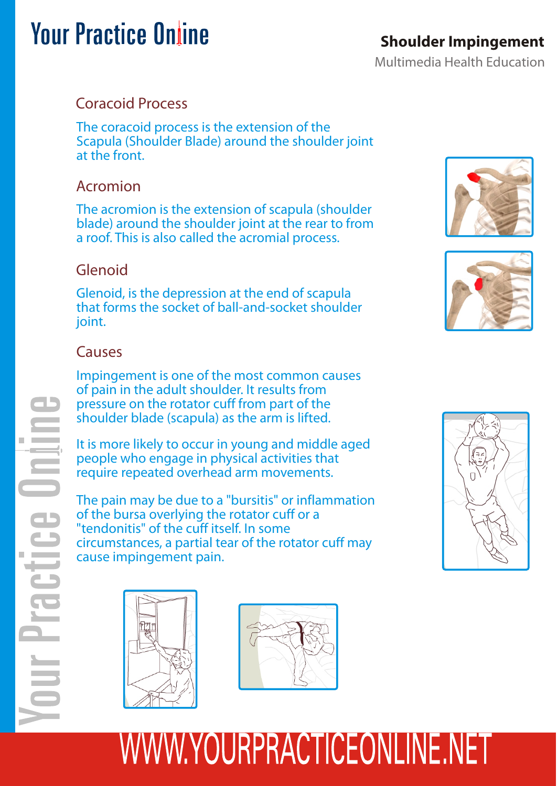#### **Shoulder Impingement**

Multimedia Health Education

#### Coracoid Process

The coracoid process is the extension of the Scapula (Shoulder Blade) around the shoulder joint at the front.

#### Acromion

The acromion is the extension of scapula (shoulder blade) around the shoulder joint at the rear to from a roof. This is also called the acromial process.

#### Glenoid

Glenoid, is the depression at the end of scapula that forms the socket of ball-and-socket shoulder joint.

#### Causes

Impingement is one of the most common causes of pain in the adult shoulder. It results from pressure on the rotator cuff from part of the shoulder blade (scapula) as the arm is lifted.

It is more likely to occur in young and middle aged people who engage in physical activities that require repeated overhead arm movements.

The pain may be due to a "bursitis" or inflammation of the bursa overlying the rotator cuff or a "tendonitis" of the cuff itself. In some circumstances, a partial tear of the rotator cuff may cause impingement pain.









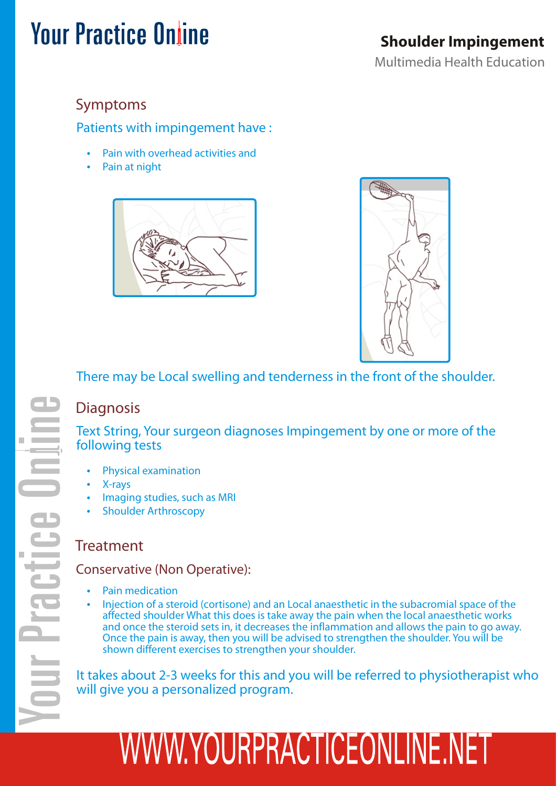#### **Shoulder Impingement**

Multimedia Health Education

#### Symptoms

Patients with impingement have :

- Pain with overhead activities and
- Pain at night





There may be Local swelling and tenderness in the front of the shoulder.

#### **Diagnosis**

Text String, Your surgeon diagnoses Impingement by one or more of the following tests

- Physical examination
- X-rays
- Imaging studies, such as MRI
- Shoulder Arthroscopy

#### **Treatment**

#### Conservative (Non Operative):

- Pain medication
- Injection of a steroid (cortisone) and an Local anaesthetic in the subacromial space of the affected shoulder What this does is take away the pain when the local anaesthetic works and once the steroid sets in, it decreases the inflammation and allows the pain to go away. Once the pain is away, then you will be advised to strengthen the shoulder. You will be shown different exercises to strengthen your shoulder.

It takes about 2-3 weeks for this and you will be referred to physiotherapist who will give you a personalized program.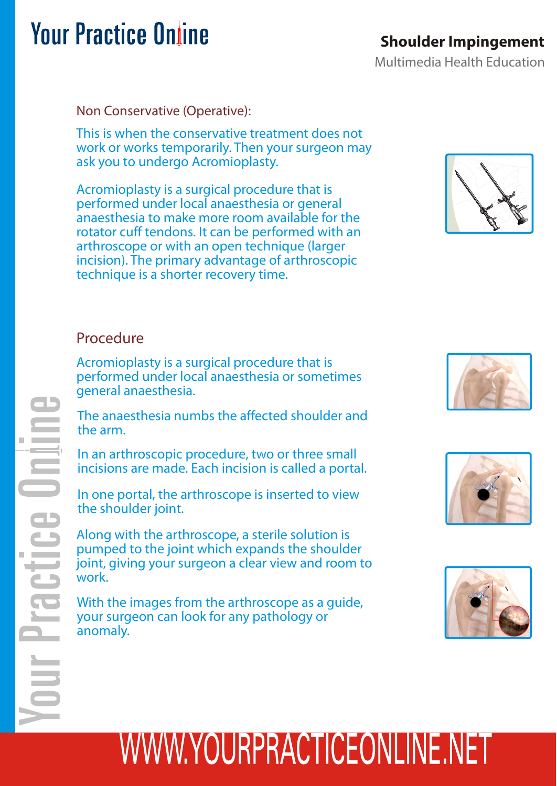#### **Shoulder Impingement**

Multimedia Health Education

Non Conservative (Operative):

This is when the conservative treatment does not work or works temporarily. Then your surgeon may ask you to undergo Acromioplasty.

Acromioplasty is a surgical procedure that is performed under local anaesthesia or general anaesthesia to make more room available for the rotator cuff tendons. It can be performed with an arthroscope or with an open technique (larger incision). The primary advantage of arthroscopic technique is a shorter recovery time.



#### Procedure

Acromioplasty is a surgical procedure that is performed under local anaesthesia or sometimes general anaesthesia.

The anaesthesia numbs the affected shoulder and the arm.

In an arthroscopic procedure, two or three small incisions are made. Each incision is called a portal.

In one portal, the arthroscope is inserted to view the shoulder joint.

Along with the arthroscope, a sterile solution is pumped to the joint which expands the shoulder joint, giving your surgeon a clear view and room to work.

With the images from the arthroscope as a guide, your surgeon can look for any pathology or anomaly.





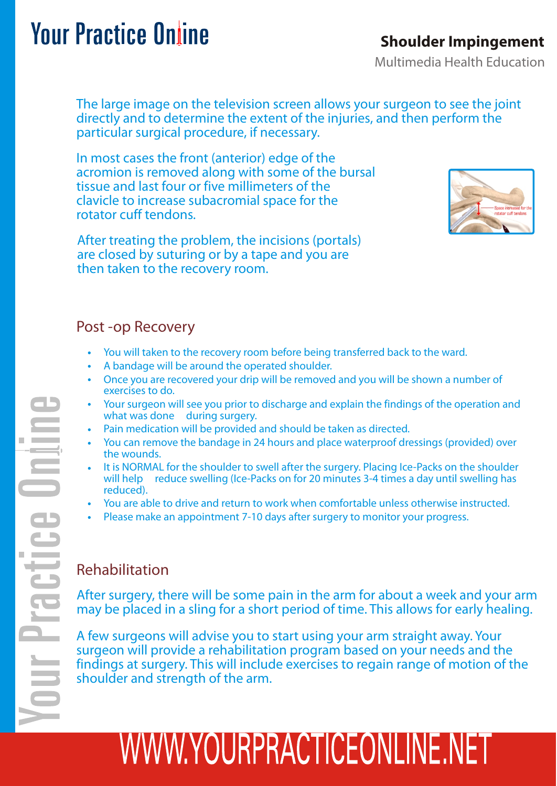#### **Shoulder Impingement**

Multimedia Health Education

The large image on the television screen allows your surgeon to see the joint directly and to determine the extent of the injuries, and then perform the particular surgical procedure, if necessary.

In most cases the front (anterior) edge of the acromion is removed along with some of the bursal tissue and last four or five millimeters of the clavicle to increase subacromial space for the rotator cuff tendons.



After treating the problem, the incisions (portals) are closed by suturing or by a tape and you are then taken to the recovery room.

#### Post -op Recovery

- You will taken to the recovery room before being transferred back to the ward.
- A bandage will be around the operated shoulder.
- Once you are recovered your drip will be removed and you will be shown a number of exercises to do.
- Your surgeon will see you prior to discharge and explain the findings of the operation and what was done during surgery.
- Pain medication will be provided and should be taken as directed.
- You can remove the bandage in 24 hours and place waterproof dressings (provided) over the wounds.
- It is NORMAL for the shoulder to swell after the surgery. Placing Ice-Packs on the shoulder will help reduce swelling (Ice-Packs on for 20 minutes 3-4 times a day until swelling has reduced).
- You are able to drive and return to work when comfortable unless otherwise instructed.
- Please make an appointment 7-10 days after surgery to monitor your progress.

#### Rehabilitation

After surgery, there will be some pain in the arm for about a week and your arm may be placed in a sling for a short period of time. This allows for early healing.

A few surgeons will advise you to start using your arm straight away. Your surgeon will provide a rehabilitation program based on your needs and the findings at surgery. This will include exercises to regain range of motion of the shoulder and strength of the arm.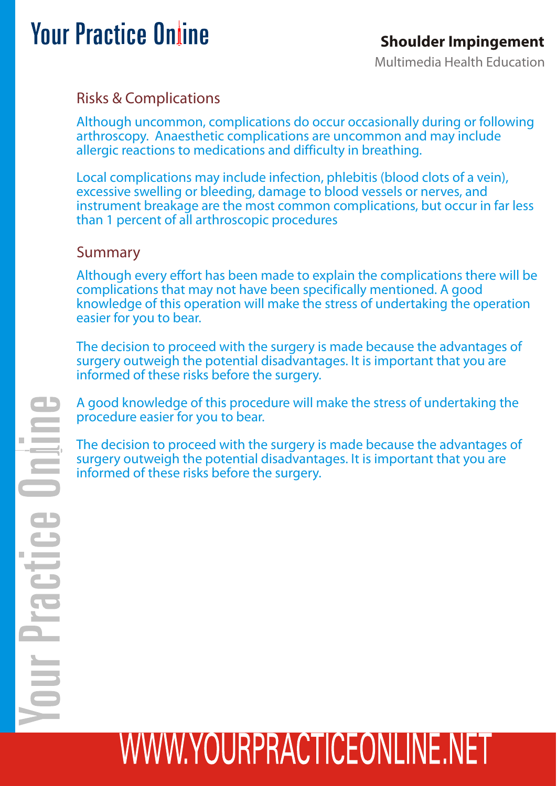Multimedia Health Education

#### Risks & Complications

Although uncommon, complications do occur occasionally during or following arthroscopy. Anaesthetic complications are uncommon and may include allergic reactions to medications and difficulty in breathing.

Local complications may include infection, phlebitis (blood clots of a vein), excessive swelling or bleeding, damage to blood vessels or nerves, and instrument breakage are the most common complications, but occur in far less than 1 percent of all arthroscopic procedures

#### Summary

Although every effort has been made to explain the complications there will be complications that may not have been specifically mentioned. A good knowledge of this operation will make the stress of undertaking the operation easier for you to bear.

The decision to proceed with the surgery is made because the advantages of surgery outweigh the potential disadvantages. It is important that you are informed of these risks before the surgery.

A good knowledge of this procedure will make the stress of undertaking the procedure easier for you to bear.

The decision to proceed with the surgery is made because the advantages of surgery outweigh the potential disadvantages. It is important that you are informed of these risks before the surgery.